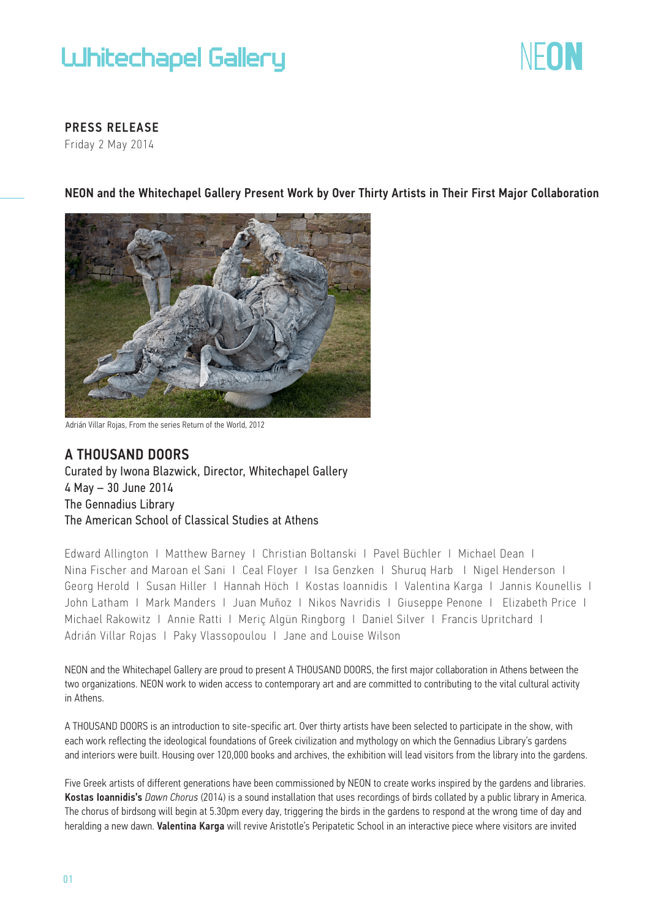# **UJhitechapel Gallery**



PRESS RELEASE

Friday 2 May 2014

NEON and the Whitechapel Gallery Present Work by Over Thirty Artists in Their First Major Collaboration



Adrián Villar Rojas, From the series Return of the World, 2012

## A THOUSAND DOORS

Curated by Iwona Blazwick, Director, Whitechapel Gallery 4 May – 30 June 2014 The Gennadius Library The American School of Classical Studies at Athens

Edward Allington Ι Matthew Barney Ι Christian Boltanski Ι Pavel Büchler Ι Michael Dean Ι Nina Fischer and Maroan el Sani Ι Ceal Floyer Ι Isa Genzken Ι Shuruq Harb Ι Nigel Henderson Ι Georg Herold Ι Susan Hiller Ι Hannah Höch Ι Kostas Ioannidis Ι Valentina Karga Ι Jannis Kounellis Ι John Latham Ι Mark Manders Ι Juan Muñoz Ι Nikos Navridis Ι Giuseppe Penone Ι Elizabeth Price Ι Michael Rakowitz Ι Annie Ratti Ι Meriç Algün Ringborg Ι Daniel Silver Ι Francis Upritchard Ι Adrián Villar Rojas Ι Paky Vlassopoulou Ι Jane and Louise Wilson

NEON and the Whitechapel Gallery are proud to present A THOUSAND DOORS, the first major collaboration in Athens between the two organizations. NEON work to widen access to contemporary art and are committed to contributing to the vital cultural activity in Athens.

A THOUSAND DOORS is an introduction to site-specific art. Over thirty artists have been selected to participate in the show, with each work reflecting the ideological foundations of Greek civilization and mythology on which the Gennadius Library's gardens and interiors were built. Housing over 120,000 books and archives, the exhibition will lead visitors from the library into the gardens.

Five Greek artists of different generations have been commissioned by NEON to create works inspired by the gardens and libraries. Kostas Ioannidis's *Dawn Chorus* (2014) is a sound installation that uses recordings of birds collated by a public library in America. The chorus of birdsong will begin at 5.30pm every day, triggering the birds in the gardens to respond at the wrong time of day and heralding a new dawn. Valentina Karga will revive Aristotle's Peripatetic School in an interactive piece where visitors are invited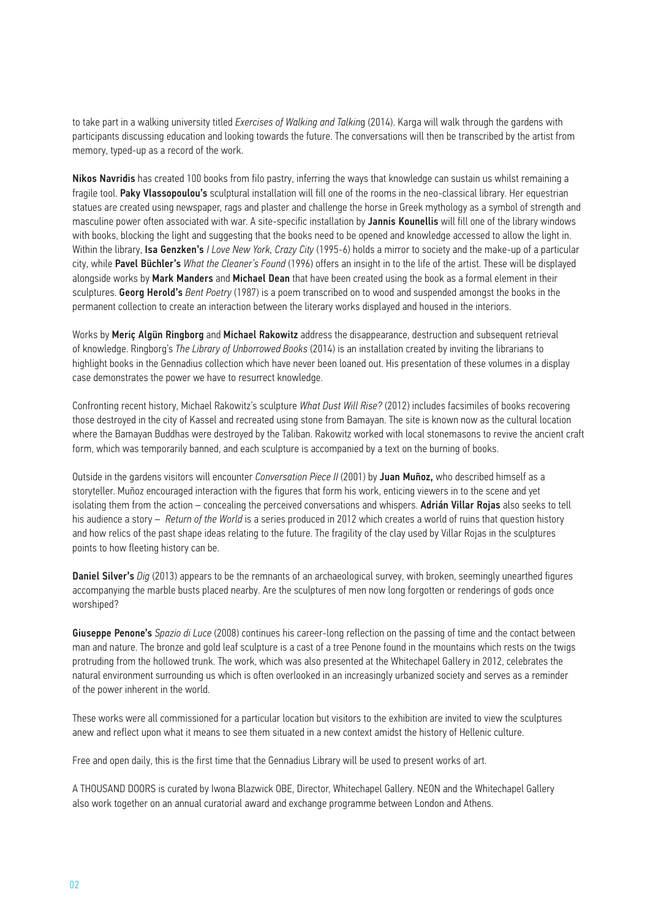to take part in a walking university titled *Exercises of Walking and Talkin*g (2014). Karga will walk through the gardens with participants discussing education and looking towards the future. The conversations will then be transcribed by the artist from memory, typed-up as a record of the work.

Nikos Navridis has created 100 books from filo pastry, inferring the ways that knowledge can sustain us whilst remaining a fragile tool. Paky Vlassopoulou's sculptural installation will fill one of the rooms in the neo-classical library. Her equestrian statues are created using newspaper, rags and plaster and challenge the horse in Greek mythology as a symbol of strength and masculine power often associated with war. A site-specific installation by Jannis Kounellis will fill one of the library windows with books, blocking the light and suggesting that the books need to be opened and knowledge accessed to allow the light in. Within the library, Isa Genzken's *I Love New York, Crazy City* (1995-6) holds a mirror to society and the make-up of a particular city, while Pavel Büchler's *What the Cleaner's Found* (1996) offers an insight in to the life of the artist. These will be displayed alongside works by Mark Manders and Michael Dean that have been created using the book as a formal element in their sculptures. Georg Herold's *Bent Poetry* (1987) is a poem transcribed on to wood and suspended amongst the books in the permanent collection to create an interaction between the literary works displayed and housed in the interiors.

Works by Meric Algün Ringborg and Michael Rakowitz address the disappearance, destruction and subsequent retrieval of knowledge. Ringborg's *The Library of Unborrowed Books* (2014) is an installation created by inviting the librarians to highlight books in the Gennadius collection which have never been loaned out. His presentation of these volumes in a display case demonstrates the power we have to resurrect knowledge.

Confronting recent history, Michael Rakowitz's sculpture *What Dust Will Rise?* (2012) includes facsimiles of books recovering those destroyed in the city of Kassel and recreated using stone from Bamayan. The site is known now as the cultural location where the Bamayan Buddhas were destroyed by the Taliban. Rakowitz worked with local stonemasons to revive the ancient craft form, which was temporarily banned, and each sculpture is accompanied by a text on the burning of books.

Outside in the gardens visitors will encounter *Conversation Piece II* (2001) by Juan Muñoz, who described himself as a storyteller. Muñoz encouraged interaction with the figures that form his work, enticing viewers in to the scene and yet isolating them from the action – concealing the perceived conversations and whispers. Adrián Villar Rojas also seeks to tell his audience a story – *Return of the World* is a series produced in 2012 which creates a world of ruins that question history and how relics of the past shape ideas relating to the future. The fragility of the clay used by Villar Rojas in the sculptures points to how fleeting history can be.

Daniel Silver's *Dig* (2013) appears to be the remnants of an archaeological survey, with broken, seemingly unearthed figures accompanying the marble busts placed nearby. Are the sculptures of men now long forgotten or renderings of gods once worshiped?

Giuseppe Penone's *Spazio di Luce* (2008) continues his career-long reflection on the passing of time and the contact between man and nature. The bronze and gold leaf sculpture is a cast of a tree Penone found in the mountains which rests on the twigs protruding from the hollowed trunk. The work, which was also presented at the Whitechapel Gallery in 2012, celebrates the natural environment surrounding us which is often overlooked in an increasingly urbanized society and serves as a reminder of the power inherent in the world.

These works were all commissioned for a particular location but visitors to the exhibition are invited to view the sculptures anew and reflect upon what it means to see them situated in a new context amidst the history of Hellenic culture.

Free and open daily, this is the first time that the Gennadius Library will be used to present works of art.

A THOUSAND DOORS is curated by Iwona Blazwick OBE, Director, Whitechapel Gallery. NEON and the Whitechapel Gallery also work together on an annual curatorial award and exchange programme between London and Athens.